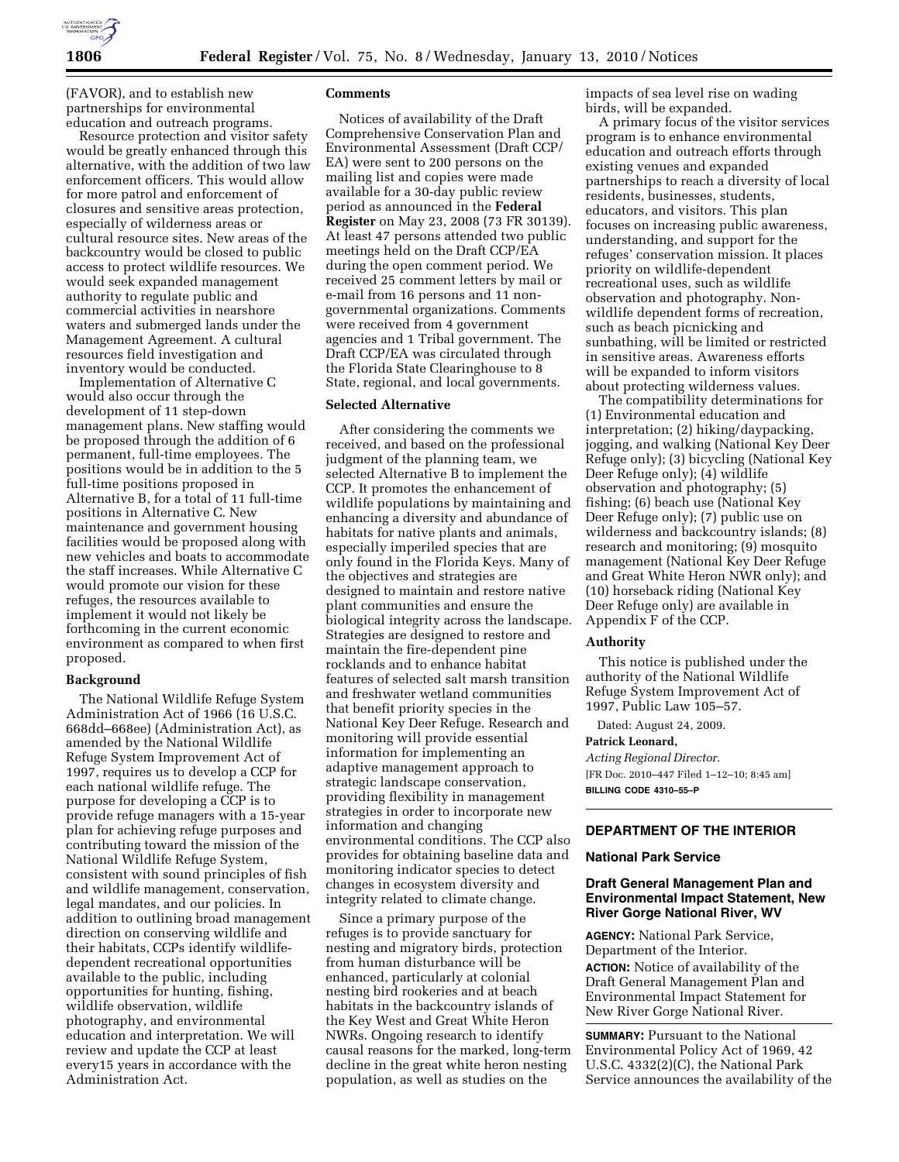

(FAVOR), and to establish new partnerships for environmental education and outreach programs.

Resource protection and visitor safety would be greatly enhanced through this alternative, with the addition of two law enforcement officers. This would allow for more patrol and enforcement of closures and sensitive areas protection, especially of wilderness areas or cultural resource sites. New areas of the backcountry would be closed to public access to protect wildlife resources. We would seek expanded management authority to regulate public and commercial activities in nearshore waters and submerged lands under the Management Agreement. A cultural resources field investigation and inventory would be conducted.

Implementation of Alternative C would also occur through the development of 11 step-down management plans. New staffing would be proposed through the addition of 6 permanent, full-time employees. The positions would be in addition to the 5 full-time positions proposed in Alternative B, for a total of 11 full-time positions in Alternative C. New maintenance and government housing facilities would be proposed along with new vehicles and boats to accommodate the staff increases. While Alternative C would promote our vision for these refuges, the resources available to implement it would not likely be forthcoming in the current economic environment as compared to when first proposed.

### **Background**

The National Wildlife Refuge System Administration Act of 1966 (16 U.S.C. 668dd–668ee) (Administration Act), as amended by the National Wildlife Refuge System Improvement Act of 1997, requires us to develop a CCP for each national wildlife refuge. The purpose for developing a CCP is to provide refuge managers with a 15-year plan for achieving refuge purposes and contributing toward the mission of the National Wildlife Refuge System, consistent with sound principles of fish and wildlife management, conservation, legal mandates, and our policies. In addition to outlining broad management direction on conserving wildlife and their habitats, CCPs identify wildlifedependent recreational opportunities available to the public, including opportunities for hunting, fishing, wildlife observation, wildlife photography, and environmental education and interpretation. We will review and update the CCP at least every15 years in accordance with the Administration Act.

## **Comments**

Notices of availability of the Draft Comprehensive Conservation Plan and Environmental Assessment (Draft CCP/ EA) were sent to 200 persons on the mailing list and copies were made available for a 30-day public review period as announced in the **Federal Register** on May 23, 2008 (73 FR 30139). At least 47 persons attended two public meetings held on the Draft CCP/EA during the open comment period. We received 25 comment letters by mail or e-mail from 16 persons and 11 nongovernmental organizations. Comments were received from 4 government agencies and 1 Tribal government. The Draft CCP/EA was circulated through the Florida State Clearinghouse to 8 State, regional, and local governments.

### **Selected Alternative**

After considering the comments we received, and based on the professional judgment of the planning team, we selected Alternative B to implement the CCP. It promotes the enhancement of wildlife populations by maintaining and enhancing a diversity and abundance of habitats for native plants and animals, especially imperiled species that are only found in the Florida Keys. Many of the objectives and strategies are designed to maintain and restore native plant communities and ensure the biological integrity across the landscape. Strategies are designed to restore and maintain the fire-dependent pine rocklands and to enhance habitat features of selected salt marsh transition and freshwater wetland communities that benefit priority species in the National Key Deer Refuge. Research and monitoring will provide essential information for implementing an adaptive management approach to strategic landscape conservation, providing flexibility in management strategies in order to incorporate new information and changing environmental conditions. The CCP also provides for obtaining baseline data and monitoring indicator species to detect changes in ecosystem diversity and integrity related to climate change.

Since a primary purpose of the refuges is to provide sanctuary for nesting and migratory birds, protection from human disturbance will be enhanced, particularly at colonial nesting bird rookeries and at beach habitats in the backcountry islands of the Key West and Great White Heron NWRs. Ongoing research to identify causal reasons for the marked, long-term decline in the great white heron nesting population, as well as studies on the

impacts of sea level rise on wading birds, will be expanded.

A primary focus of the visitor services program is to enhance environmental education and outreach efforts through existing venues and expanded partnerships to reach a diversity of local residents, businesses, students, educators, and visitors. This plan focuses on increasing public awareness, understanding, and support for the refuges' conservation mission. It places priority on wildlife-dependent recreational uses, such as wildlife observation and photography. Nonwildlife dependent forms of recreation, such as beach picnicking and sunbathing, will be limited or restricted in sensitive areas. Awareness efforts will be expanded to inform visitors about protecting wilderness values.

The compatibility determinations for (1) Environmental education and interpretation; (2) hiking/daypacking, jogging, and walking (National Key Deer Refuge only); (3) bicycling (National Key Deer Refuge only); (4) wildlife observation and photography; (5) fishing; (6) beach use (National Key Deer Refuge only); (7) public use on wilderness and backcountry islands; (8) research and monitoring; (9) mosquito management (National Key Deer Refuge and Great White Heron NWR only); and (10) horseback riding (National Key Deer Refuge only) are available in Appendix F of the CCP.

### **Authority**

This notice is published under the authority of the National Wildlife Refuge System Improvement Act of 1997, Public Law 105–57.

Dated: August 24, 2009.

#### **Patrick Leonard,**

*Acting Regional Director.*  [FR Doc. 2010–447 Filed 1–12–10; 8:45 am] **BILLING CODE 4310–55–P** 

# **DEPARTMENT OF THE INTERIOR**

#### **National Park Service**

# **Draft General Management Plan and Environmental Impact Statement, New River Gorge National River, WV**

**AGENCY:** National Park Service, Department of the Interior. **ACTION:** Notice of availability of the Draft General Management Plan and Environmental Impact Statement for New River Gorge National River.

**SUMMARY:** Pursuant to the National Environmental Policy Act of 1969, 42 U.S.C. 4332(2)(C), the National Park Service announces the availability of the